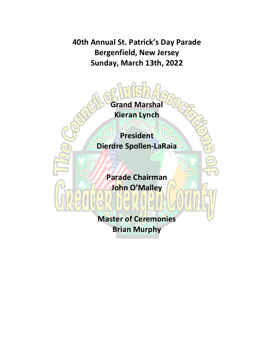**40th Annual St. Patrick's Day Parade Bergenfield, New Jersey Sunday, March 13th, 2022**



**Brian Murphy**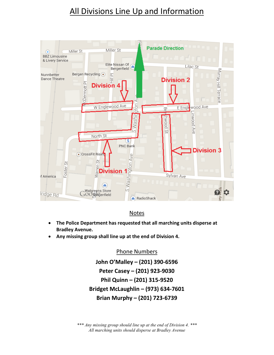# All Divisions Line Up and Information



#### Notes

- **The Police Department has requested that all marching units disperse at Bradley Avenue.**
- **Any missing group shall line up at the end of Division 4.**

Phone Numbers

**John O'Malley – (201) 390-6596 Peter Casey – (201) 923-9030 Phil Quinn – (201) 315-9520 Bridget McLaughlin – (973) 634-7601 Brian Murphy – (201) 723-6739**

*\*\*\* Any missing group should line up at the end of Division 4. \*\*\* All marching units should disperse at Bradley Avenue*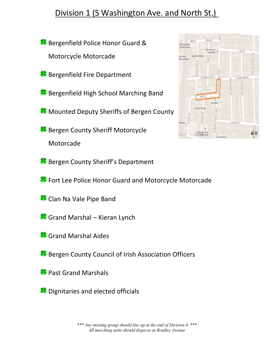# Division 1 (S Washington Ave. and North St.)

**Bergenfield Police Honor Guard &** Motorcycle Motorcade

**Bergenfield Fire Department** 

**Bergenfield High School Marching Band** 

**Mounted Deputy Sheriffs of Bergen County** 

**Bergen County Sheriff Motorcycle** Motorcade



**Bergen County Sheriff's Department** 

**\*** Fort Lee Police Honor Guard and Motorcycle Motorcade

- Clan Na Vale Pipe Band
- Grand Marshal Kieran Lynch
- **\*** Grand Marshal Aides
- **Bergen County Council of Irish Association Officers**
- **Past Grand Marshals**
- <sup>8</sup> Dignitaries and elected officials

*\*\*\* Any missing group should line up at the end of Division 4. \*\*\* All marching units should disperse at Bradley Avenue*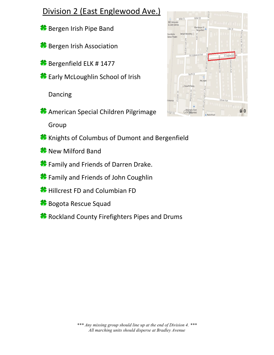## Division 2 (East Englewood Ave.)

- **Bergen Irish Pipe Band**
- **Bergen Irish Association**
- **Bergenfield ELK # 1477**
- **\*** Early McLoughlin School of Irish

Dancing

**American Special Children Pilgrimage** 

Group

- Knights of Columbus of Dumont and Bergenfield
- **\*** New Milford Band
- **\*** Family and Friends of Darren Drake.
- **\*** Family and Friends of John Coughlin
- **Hillcrest FD and Columbian FD**
- **Bogota Rescue Squad**
- Rockland County Firefighters Pipes and Drums

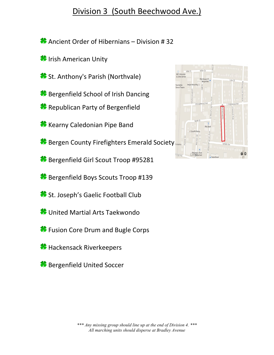### Division 3 (South Beechwood Ave.)

Ancient Order of Hibernians – Division # 32

- **IF** Irish American Unity
- **St. Anthony's Parish (Northvale)**
- **Bergenfield School of Irish Dancing**
- **Republican Party of Bergenfield**
- **K** Kearny Caledonian Pipe Band
- **Bergen County Firefighters Emerald Society**
- **Bergenfield Girl Scout Troop #95281**
- **Bergenfield Boys Scouts Troop #139**
- St. Joseph's Gaelic Football Club
- **\*** United Martial Arts Taekwondo
- **\*** Fusion Core Drum and Bugle Corps
- **\*** Hackensack Riverkeepers
- **Bergenfield United Soccer**